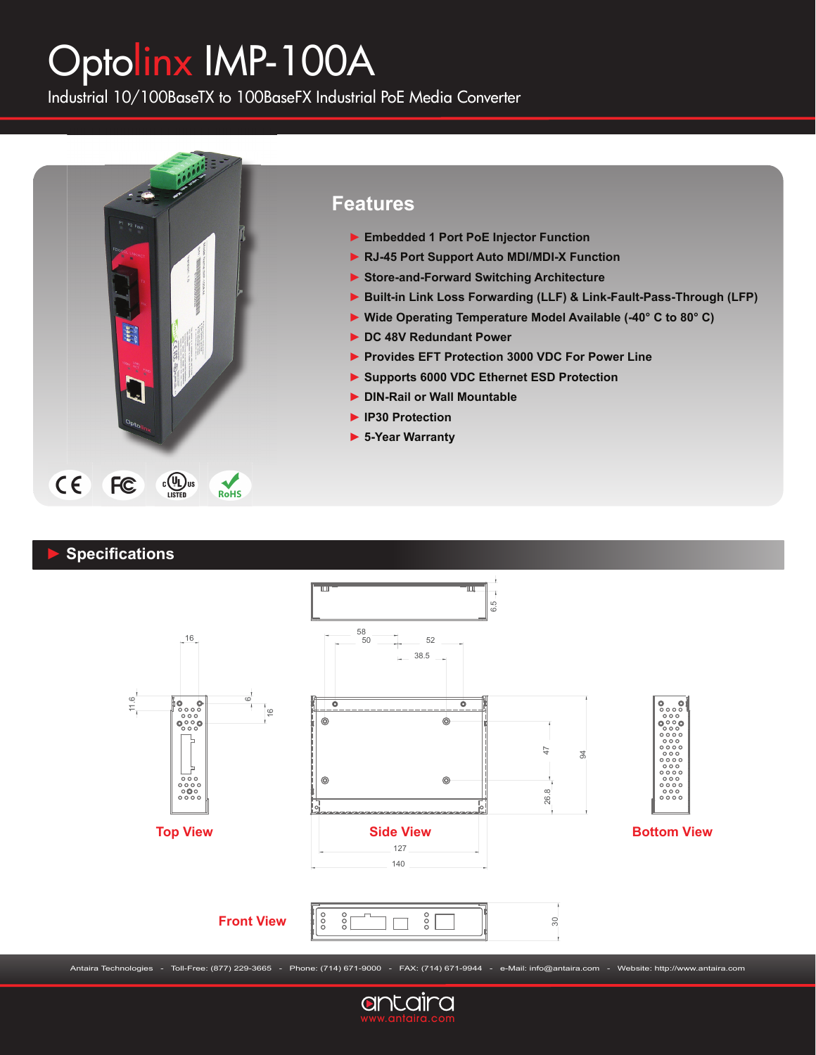# Optolinx IMP-100A

Industrial 10/100BaseTX to 100BaseFX Industrial PoE Media Converter



## **Features**

- **► Embedded 1 Port PoE Injector Function**
- **► RJ-45 Port Support Auto MDI/MDI-X Function**
- **► Store-and-Forward Switching Architecture**
- **► Built-in Link Loss Forwarding (LLF) & Link-Fault-Pass-Through (LFP)**
- **► Wide Operating Temperature Model Available (-40° C to 80° C)**
- **► DC 48V Redundant Power**
- **► Provides EFT Protection 3000 VDC For Power Line**
- **► Supports 6000 VDC Ethernet ESD Protection**
- **► DIN-Rail or Wall Mountable**
- **► IP30 Protection**
- **► 5-Year Warranty**

## **► Specifi cations**



Antaira Technologies - Toll-Free: (877) 229-3665 - Phone: (714) 671-9000 - FAX: (714) 671-9944 - e-Mail: info@antaira.com - Website: http://www.antaira.com